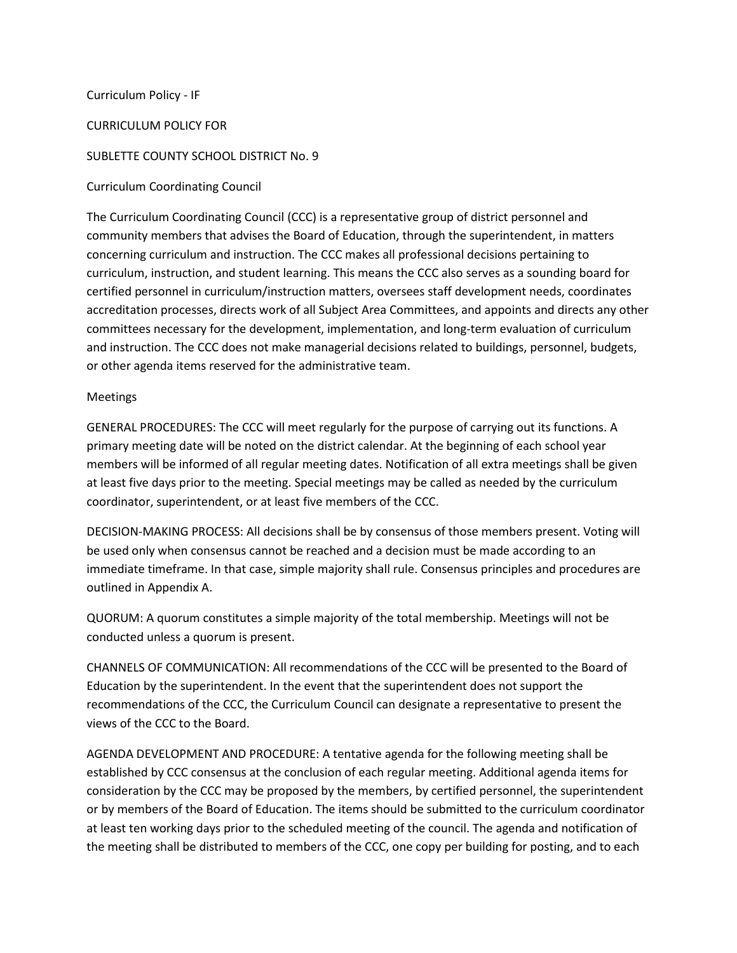### Curriculum Policy - IF

#### CURRICULUM POLICY FOR

### SUBLETTE COUNTY SCHOOL DISTRICT No. 9

### Curriculum Coordinating Council

The Curriculum Coordinating Council (CCC) is a representative group of district personnel and community members that advises the Board of Education, through the superintendent, in matters concerning curriculum and instruction. The CCC makes all professional decisions pertaining to curriculum, instruction, and student learning. This means the CCC also serves as a sounding board for certified personnel in curriculum/instruction matters, oversees staff development needs, coordinates accreditation processes, directs work of all Subject Area Committees, and appoints and directs any other committees necessary for the development, implementation, and long-term evaluation of curriculum and instruction. The CCC does not make managerial decisions related to buildings, personnel, budgets, or other agenda items reserved for the administrative team.

### Meetings

GENERAL PROCEDURES: The CCC will meet regularly for the purpose of carrying out its functions. A primary meeting date will be noted on the district calendar. At the beginning of each school year members will be informed of all regular meeting dates. Notification of all extra meetings shall be given at least five days prior to the meeting. Special meetings may be called as needed by the curriculum coordinator, superintendent, or at least five members of the CCC.

DECISION-MAKING PROCESS: All decisions shall be by consensus of those members present. Voting will be used only when consensus cannot be reached and a decision must be made according to an immediate timeframe. In that case, simple majority shall rule. Consensus principles and procedures are outlined in Appendix A.

QUORUM: A quorum constitutes a simple majority of the total membership. Meetings will not be conducted unless a quorum is present.

CHANNELS OF COMMUNICATION: All recommendations of the CCC will be presented to the Board of Education by the superintendent. In the event that the superintendent does not support the recommendations of the CCC, the Curriculum Council can designate a representative to present the views of the CCC to the Board.

AGENDA DEVELOPMENT AND PROCEDURE: A tentative agenda for the following meeting shall be established by CCC consensus at the conclusion of each regular meeting. Additional agenda items for consideration by the CCC may be proposed by the members, by certified personnel, the superintendent or by members of the Board of Education. The items should be submitted to the curriculum coordinator at least ten working days prior to the scheduled meeting of the council. The agenda and notification of the meeting shall be distributed to members of the CCC, one copy per building for posting, and to each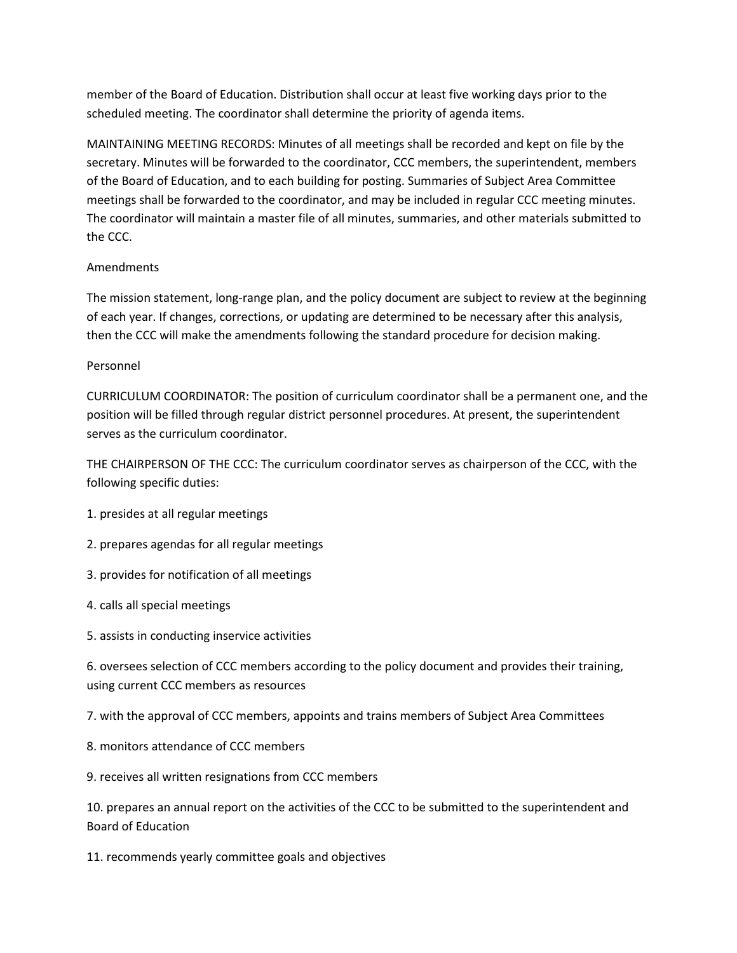member of the Board of Education. Distribution shall occur at least five working days prior to the scheduled meeting. The coordinator shall determine the priority of agenda items.

MAINTAINING MEETING RECORDS: Minutes of all meetings shall be recorded and kept on file by the secretary. Minutes will be forwarded to the coordinator, CCC members, the superintendent, members of the Board of Education, and to each building for posting. Summaries of Subject Area Committee meetings shall be forwarded to the coordinator, and may be included in regular CCC meeting minutes. The coordinator will maintain a master file of all minutes, summaries, and other materials submitted to the CCC.

## Amendments

The mission statement, long-range plan, and the policy document are subject to review at the beginning of each year. If changes, corrections, or updating are determined to be necessary after this analysis, then the CCC will make the amendments following the standard procedure for decision making.

## Personnel

CURRICULUM COORDINATOR: The position of curriculum coordinator shall be a permanent one, and the position will be filled through regular district personnel procedures. At present, the superintendent serves as the curriculum coordinator.

THE CHAIRPERSON OF THE CCC: The curriculum coordinator serves as chairperson of the CCC, with the following specific duties:

- 1. presides at all regular meetings
- 2. prepares agendas for all regular meetings
- 3. provides for notification of all meetings
- 4. calls all special meetings
- 5. assists in conducting inservice activities

6. oversees selection of CCC members according to the policy document and provides their training, using current CCC members as resources

7. with the approval of CCC members, appoints and trains members of Subject Area Committees

- 8. monitors attendance of CCC members
- 9. receives all written resignations from CCC members

10. prepares an annual report on the activities of the CCC to be submitted to the superintendent and Board of Education

11. recommends yearly committee goals and objectives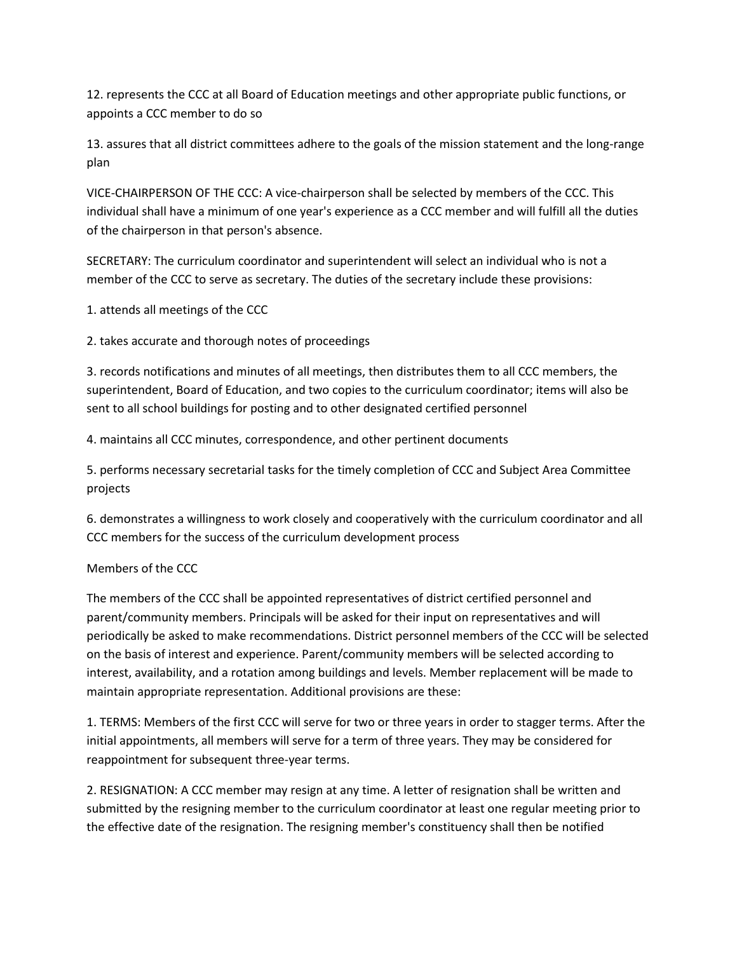12. represents the CCC at all Board of Education meetings and other appropriate public functions, or appoints a CCC member to do so

13. assures that all district committees adhere to the goals of the mission statement and the long-range plan

VICE-CHAIRPERSON OF THE CCC: A vice-chairperson shall be selected by members of the CCC. This individual shall have a minimum of one year's experience as a CCC member and will fulfill all the duties of the chairperson in that person's absence.

SECRETARY: The curriculum coordinator and superintendent will select an individual who is not a member of the CCC to serve as secretary. The duties of the secretary include these provisions:

1. attends all meetings of the CCC

2. takes accurate and thorough notes of proceedings

3. records notifications and minutes of all meetings, then distributes them to all CCC members, the superintendent, Board of Education, and two copies to the curriculum coordinator; items will also be sent to all school buildings for posting and to other designated certified personnel

4. maintains all CCC minutes, correspondence, and other pertinent documents

5. performs necessary secretarial tasks for the timely completion of CCC and Subject Area Committee projects

6. demonstrates a willingness to work closely and cooperatively with the curriculum coordinator and all CCC members for the success of the curriculum development process

# Members of the CCC

The members of the CCC shall be appointed representatives of district certified personnel and parent/community members. Principals will be asked for their input on representatives and will periodically be asked to make recommendations. District personnel members of the CCC will be selected on the basis of interest and experience. Parent/community members will be selected according to interest, availability, and a rotation among buildings and levels. Member replacement will be made to maintain appropriate representation. Additional provisions are these:

1. TERMS: Members of the first CCC will serve for two or three years in order to stagger terms. After the initial appointments, all members will serve for a term of three years. They may be considered for reappointment for subsequent three-year terms.

2. RESIGNATION: A CCC member may resign at any time. A letter of resignation shall be written and submitted by the resigning member to the curriculum coordinator at least one regular meeting prior to the effective date of the resignation. The resigning member's constituency shall then be notified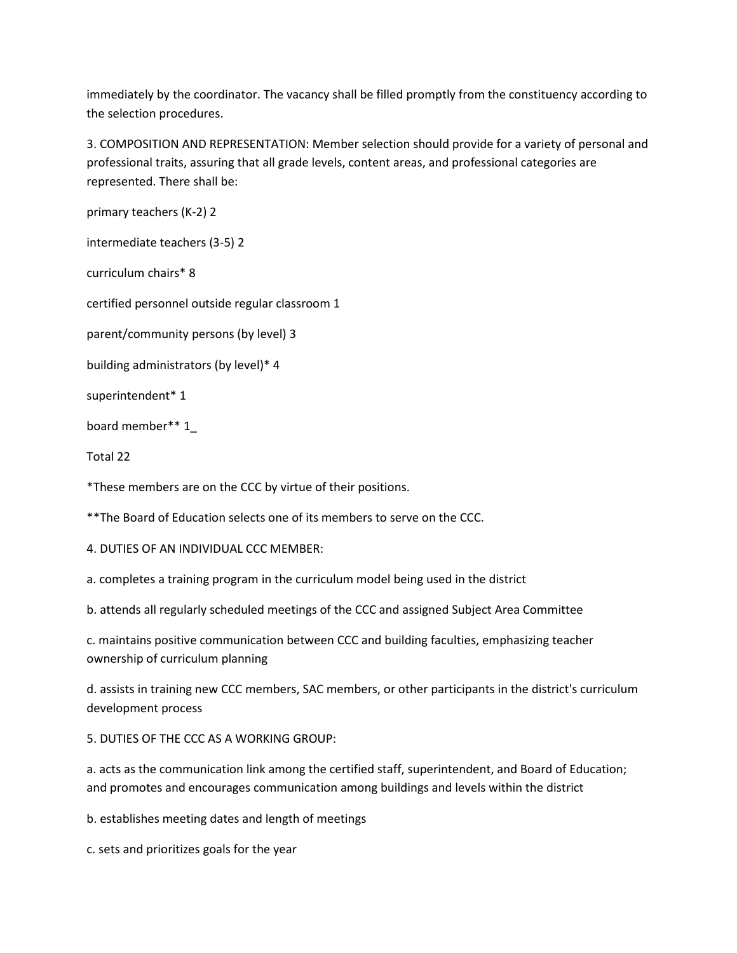immediately by the coordinator. The vacancy shall be filled promptly from the constituency according to the selection procedures.

3. COMPOSITION AND REPRESENTATION: Member selection should provide for a variety of personal and professional traits, assuring that all grade levels, content areas, and professional categories are represented. There shall be:

primary teachers (K-2) 2

intermediate teachers (3-5) 2

curriculum chairs\* 8

certified personnel outside regular classroom 1

parent/community persons (by level) 3

building administrators (by level)\* 4

superintendent\* 1

board member\*\* 1\_

Total 22

\*These members are on the CCC by virtue of their positions.

\*\*The Board of Education selects one of its members to serve on the CCC.

4. DUTIES OF AN INDIVIDUAL CCC MEMBER:

a. completes a training program in the curriculum model being used in the district

b. attends all regularly scheduled meetings of the CCC and assigned Subject Area Committee

c. maintains positive communication between CCC and building faculties, emphasizing teacher ownership of curriculum planning

d. assists in training new CCC members, SAC members, or other participants in the district's curriculum development process

5. DUTIES OF THE CCC AS A WORKING GROUP:

a. acts as the communication link among the certified staff, superintendent, and Board of Education; and promotes and encourages communication among buildings and levels within the district

b. establishes meeting dates and length of meetings

c. sets and prioritizes goals for the year